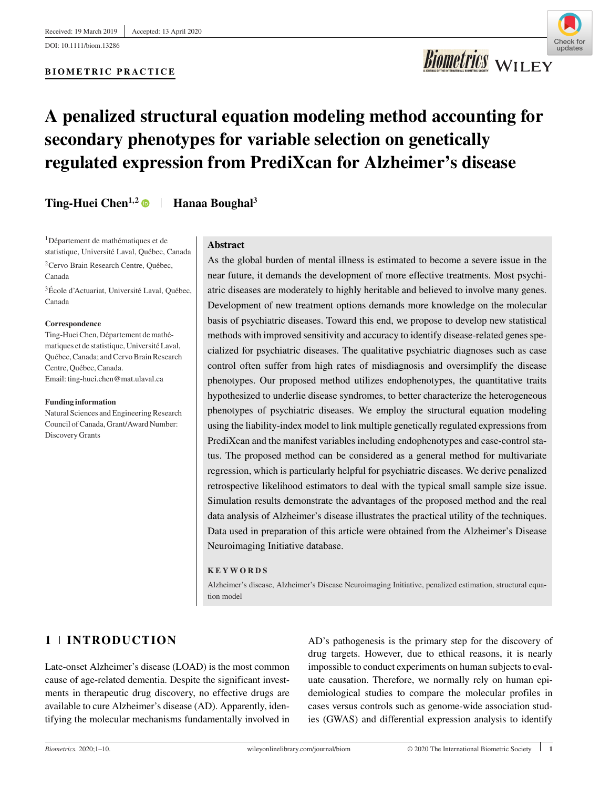

**Biometrics** WILEY

## **A penalized structural equation modeling method accounting for secondary phenotypes for variable selection on genetically regulated expression from PrediXcan for Alzheimer's disease**

**Ting-Huei Chen<sup>1,2</sup> • Hanaa Boughal<sup>3</sup>** 

1Département de mathématiques et de statistique, Université Laval, Québec, Canada 2Cervo Brain Research Centre, Québec,

Canada 3École d'Actuariat, Université Laval, Québec,

Canada

#### **Correspondence**

Ting-Huei Chen, Département de mathématiques et de statistique, Université Laval, Québec, Canada; and Cervo Brain Research Centre, Québec, Canada. Email: ting-huei.chen@mat.ulaval.ca

#### **Funding information**

Natural Sciences and Engineering Research Council of Canada, Grant/Award Number: Discovery Grants

## **Abstract**

As the global burden of mental illness is estimated to become a severe issue in the near future, it demands the development of more effective treatments. Most psychiatric diseases are moderately to highly heritable and believed to involve many genes. Development of new treatment options demands more knowledge on the molecular basis of psychiatric diseases. Toward this end, we propose to develop new statistical methods with improved sensitivity and accuracy to identify disease-related genes specialized for psychiatric diseases. The qualitative psychiatric diagnoses such as case control often suffer from high rates of misdiagnosis and oversimplify the disease phenotypes. Our proposed method utilizes endophenotypes, the quantitative traits hypothesized to underlie disease syndromes, to better characterize the heterogeneous phenotypes of psychiatric diseases. We employ the structural equation modeling using the liability-index model to link multiple genetically regulated expressions from PrediXcan and the manifest variables including endophenotypes and case-control status. The proposed method can be considered as a general method for multivariate regression, which is particularly helpful for psychiatric diseases. We derive penalized retrospective likelihood estimators to deal with the typical small sample size issue. Simulation results demonstrate the advantages of the proposed method and the real data analysis of Alzheimer's disease illustrates the practical utility of the techniques. Data used in preparation of this article were obtained from the Alzheimer's Disease Neuroimaging Initiative database.

## **KEYWORDS**

Alzheimer's disease, Alzheimer's Disease Neuroimaging Initiative, penalized estimation, structural equation model

## **1 INTRODUCTION**

Late-onset Alzheimer's disease (LOAD) is the most common cause of age-related dementia. Despite the significant investments in therapeutic drug discovery, no effective drugs are available to cure Alzheimer's disease (AD). Apparently, identifying the molecular mechanisms fundamentally involved in AD's pathogenesis is the primary step for the discovery of drug targets. However, due to ethical reasons, it is nearly impossible to conduct experiments on human subjects to evaluate causation. Therefore, we normally rely on human epidemiological studies to compare the molecular profiles in cases versus controls such as genome-wide association studies (GWAS) and differential expression analysis to identify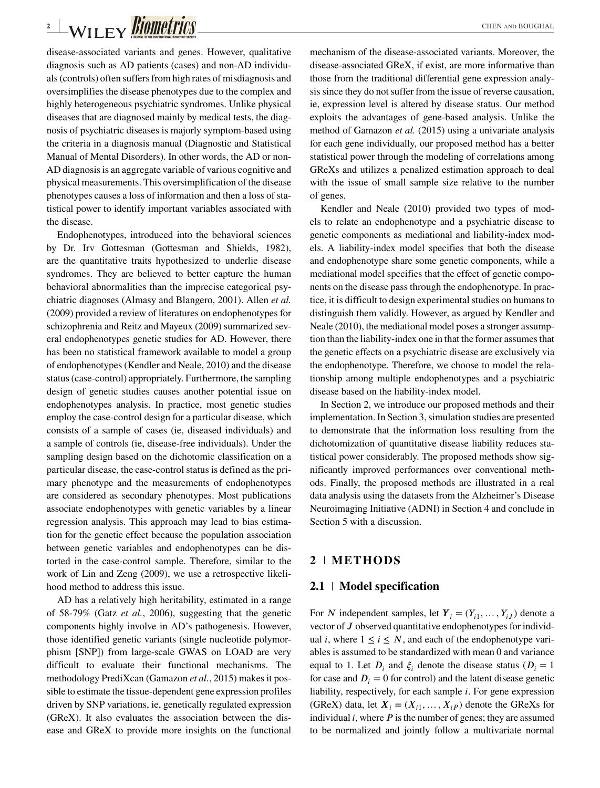# **2** WILEY **BIOMETTICS**

disease-associated variants and genes. However, qualitative diagnosis such as AD patients (cases) and non-AD individuals (controls) often suffers from high rates of misdiagnosis and oversimplifies the disease phenotypes due to the complex and highly heterogeneous psychiatric syndromes. Unlike physical diseases that are diagnosed mainly by medical tests, the diagnosis of psychiatric diseases is majorly symptom-based using the criteria in a diagnosis manual (Diagnostic and Statistical Manual of Mental Disorders). In other words, the AD or non-AD diagnosis is an aggregate variable of various cognitive and physical measurements. This oversimplification of the disease phenotypes causes a loss of information and then a loss of statistical power to identify important variables associated with the disease.

Endophenotypes, introduced into the behavioral sciences by Dr. Irv Gottesman (Gottesman and Shields, 1982), are the quantitative traits hypothesized to underlie disease syndromes. They are believed to better capture the human behavioral abnormalities than the imprecise categorical psychiatric diagnoses (Almasy and Blangero, 2001). Allen *et al.* (2009) provided a review of literatures on endophenotypes for schizophrenia and Reitz and Mayeux (2009) summarized several endophenotypes genetic studies for AD. However, there has been no statistical framework available to model a group of endophenotypes (Kendler and Neale, 2010) and the disease status (case-control) appropriately. Furthermore, the sampling design of genetic studies causes another potential issue on endophenotypes analysis. In practice, most genetic studies employ the case-control design for a particular disease, which consists of a sample of cases (ie, diseased individuals) and a sample of controls (ie, disease-free individuals). Under the sampling design based on the dichotomic classification on a particular disease, the case-control status is defined as the primary phenotype and the measurements of endophenotypes are considered as secondary phenotypes. Most publications associate endophenotypes with genetic variables by a linear regression analysis. This approach may lead to bias estimation for the genetic effect because the population association between genetic variables and endophenotypes can be distorted in the case-control sample. Therefore, similar to the work of Lin and Zeng (2009), we use a retrospective likelihood method to address this issue.

AD has a relatively high heritability, estimated in a range of 58-79% (Gatz *et al.*, 2006), suggesting that the genetic components highly involve in AD's pathogenesis. However, those identified genetic variants (single nucleotide polymorphism [SNP]) from large-scale GWAS on LOAD are very difficult to evaluate their functional mechanisms. The methodology PrediXcan (Gamazon *et al.*, 2015) makes it possible to estimate the tissue-dependent gene expression profiles driven by SNP variations, ie, genetically regulated expression (GReX). It also evaluates the association between the disease and GReX to provide more insights on the functional mechanism of the disease-associated variants. Moreover, the disease-associated GReX, if exist, are more informative than those from the traditional differential gene expression analysis since they do not suffer from the issue of reverse causation, ie, expression level is altered by disease status. Our method exploits the advantages of gene-based analysis. Unlike the method of Gamazon *et al.* (2015) using a univariate analysis for each gene individually, our proposed method has a better statistical power through the modeling of correlations among GReXs and utilizes a penalized estimation approach to deal with the issue of small sample size relative to the number of genes.

Kendler and Neale (2010) provided two types of models to relate an endophenotype and a psychiatric disease to genetic components as mediational and liability-index models. A liability-index model specifies that both the disease and endophenotype share some genetic components, while a mediational model specifies that the effect of genetic components on the disease pass through the endophenotype. In practice, it is difficult to design experimental studies on humans to distinguish them validly. However, as argued by Kendler and Neale (2010), the mediational model poses a stronger assumption than the liability-index one in that the former assumes that the genetic effects on a psychiatric disease are exclusively via the endophenotype. Therefore, we choose to model the relationship among multiple endophenotypes and a psychiatric disease based on the liability-index model.

In Section 2, we introduce our proposed methods and their implementation. In Section 3, simulation studies are presented to demonstrate that the information loss resulting from the dichotomization of quantitative disease liability reduces statistical power considerably. The proposed methods show significantly improved performances over conventional methods. Finally, the proposed methods are illustrated in a real data analysis using the datasets from the Alzheimer's Disease Neuroimaging Initiative (ADNI) in Section 4 and conclude in Section 5 with a discussion.

## **2 METHODS**

## **2.1 Model specification**

For N independent samples, let  $Y_i = (Y_{i1}, \ldots, Y_{iJ})$  denote a vector of  $J$  observed quantitative endophenotypes for individual *i*, where  $1 \le i \le N$ , and each of the endophenotype variables is assumed to be standardized with mean 0 and variance equal to 1. Let  $D_i$  and  $\xi_i$  denote the disease status ( $D_i = 1$ for case and  $D_i = 0$  for control) and the latent disease genetic liability, respectively, for each sample  $i$ . For gene expression (GReX) data, let  $X_i = (X_{i1}, \dots, X_{iP})$  denote the GReXs for individual  $i$ , where  $P$  is the number of genes; they are assumed to be normalized and jointly follow a multivariate normal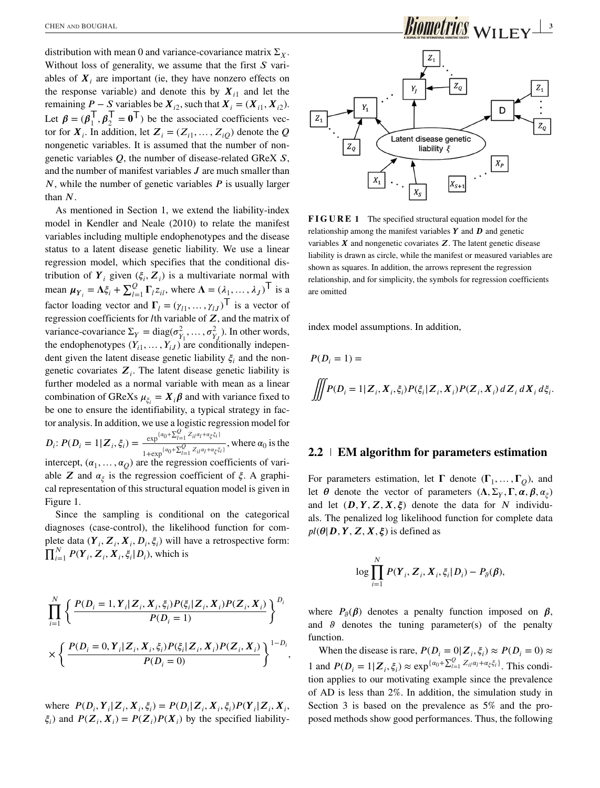distribution with mean 0 and variance-covariance matrix  $\Sigma_X$ . Without loss of generality, we assume that the first  $S$  variables of  $X_i$  are important (ie, they have nonzero effects on the response variable) and denote this by  $X_{i1}$  and let the remaining  $P - S$  variables be  $X_{i2}$ , such that  $X_i = (X_{i1}, X_{i2})$ . Let  $\beta = (\beta_1^\top, \beta_2^\top = 0^\top)$  be the associated coefficients vector  $X$ . In addition let  $Z = (Z_1, \ldots, Z_{\infty})$  denote the *O* tor for  $X_i$ . In addition, let  $Z_i = (Z_{i1}, \ldots, Z_{i0})$  denote the Q nongenetic variables. It is assumed that the number of nongenetic variables  $Q$ , the number of disease-related GReX  $S$ , and the number of manifest variables  $J$  are much smaller than  $N$ , while the number of genetic variables  $P$  is usually larger than  $N$ .

As mentioned in Section 1, we extend the liability-index model in Kendler and Neale (2010) to relate the manifest variables including multiple endophenotypes and the disease status to a latent disease genetic liability. We use a linear regression model, which specifies that the conditional distribution of  $Y_i$  given  $(\xi_i, Z_i)$  is a multivariate normal with mean  $\mu_{Y_i} = \Lambda \xi_i + \sum_{l=1}^{Q} \Gamma_l z_{il}$ , where  $\Lambda = (\lambda_1, \dots, \lambda_J)^T$  is a set of leading supported and  $\Gamma$ factor loading vector and  $\Gamma_l = (\gamma_{l1}, \dots, \gamma_{lJ})^T$  is a vector of regression coefficients for *l*<sup>th</sup> variable of **Z**, and the matrix of regression coefficients for *l*th variable of  $Z$ , and the matrix of variance-covariance  $\Sigma_Y = \text{diag}(\sigma_{Y_1}^2, \dots, \sigma_{Y_J}^2)$ . In other words, the endophenotypes  $(Y_{i1},..., Y_{iJ})$  are conditionally independent given the latent discose genetic liability  $\xi$  and the nondent given the latent disease genetic liability  $\xi_i$  and the nongenetic covariates  $Z_i$ . The latent disease genetic liability is further modeled as a normal variable with mean as a linear combination of GReXs  $\mu_{\xi_i} = X_i \beta$  and with variance fixed to be one to ensure the identifiability, a typical strategy in factor analysis. In addition, we use a logistic regression model for  $D_i: P(D_i = 1 | \mathbf{Z}_i, \xi_i) = \frac{\exp^{\{a_0 + \sum_{l=1}^Q Z_{il}a_l + a_\xi \xi_i\}}}{1 + \exp^{\{a_0 + \sum_{l=1}^Q Z_{il}a_l + a_\xi \xi_i\}}}$  $1+\exp{\{\alpha_0 + \sum_{l=1}^Q Z_{il} \alpha_l + \alpha_\xi \xi_l\}}$ , where  $\alpha_0$  is the intercept,  $(\alpha_1, \ldots, \alpha_Q)$  are the regression coefficients of variable Z and  $\alpha_{\xi}$  is the regression coefficient of  $\xi$ . A graphical representation of this structural equation model is given in Figure 1.

Since the sampling is conditional on the categorical diagnoses (case-control), the likelihood function for complete data  $(Y_i, Z_i, X_i, D_i, \xi_i)$  will have a retrospective form:  $\prod_{i=1}^{N} P(Y_i, Z_i, X_i, \xi_i | D_i)$ , which is

$$
\prod_{i=1}^{N} \left\{ \frac{P(D_i = 1, Y_i | Z_i, X_i, \xi_i) P(\xi_i | Z_i, X_i) P(Z_i, X_i)}{P(D_i = 1)} \right\}^{D_i}
$$
  
 
$$
\times \left\{ \frac{P(D_i = 0, Y_i | Z_i, X_i, \xi_i) P(\xi_i | Z_i, X_i) P(Z_i, X_i)}{P(D_i = 0)} \right\}^{1 - D_i},
$$

where  $P(D_i, Y_i | Z_i, X_i, \xi_i) = P(D_i | Z_i, X_i, \xi_i) P(Y_i | Z_i, X_i, \xi_i)$  $\xi_i$ ) and  $P(Z_i, X_j) = P(Z_i)P(X_i)$  by the specified liability-





**FIGURE 1** The specified structural equation model for the relationship among the manifest variables  $Y$  and  $D$  and genetic variables  $X$  and nongenetic covariates  $Z$ . The latent genetic disease liability is drawn as circle, while the manifest or measured variables are shown as squares. In addition, the arrows represent the regression relationship, and for simplicity, the symbols for regression coefficients are omitted

index model assumptions. In addition,

$$
P(D_i = 1) =
$$
  

$$
\iiint P(D_i = 1 | \mathbf{Z}_i, \mathbf{X}_i, \xi_i) P(\xi_i | \mathbf{Z}_i, \mathbf{X}_i) P(\mathbf{Z}_i, \mathbf{X}_i) d\mathbf{Z}_i d\mathbf{X}_i d\xi_i.
$$

## **2.2 EM algorithm for parameters estimation**

For parameters estimation, let  $\Gamma$  denote  $(\Gamma_1, \ldots, \Gamma_O)$ , and let  $\theta$  denote the vector of parameters  $(\Lambda, \Sigma_Y, \Gamma, \alpha, \beta, \alpha)$ and let  $(D, Y, Z, X, \xi)$  denote the data for N individuals. The penalized log likelihood function for complete data  $pl(\theta|\mathbf{D}, \mathbf{Y}, \mathbf{Z}, \mathbf{X}, \xi)$  is defined as

$$
\log \prod_{i=1}^N P(\boldsymbol{Y}_i, \boldsymbol{Z}_i, \boldsymbol{X}_i, \xi_i | D_i) - P_{\vartheta}(\boldsymbol{\beta}),
$$

where  $P_{\alpha}(\beta)$  denotes a penalty function imposed on  $\beta$ , and  $\theta$  denotes the tuning parameter(s) of the penalty function.

When the disease is rare,  $P(D_i = 0 | Z_i, \xi_i) \approx P(D_i = 0) \approx$ 1 and  $P(D_i = 1 | \mathbf{Z}_i, \xi_i) \approx \exp^{\{\alpha_0 + \sum_{i=1}^Q Z_{ii} \alpha_i + \alpha_{\xi} \xi_i\}}$ . This condition applies to our motivating example since the provelence tion applies to our motivating example since the prevalence of AD is less than 2%. In addition, the simulation study in Section 3 is based on the prevalence as 5% and the proposed methods show good performances. Thus, the following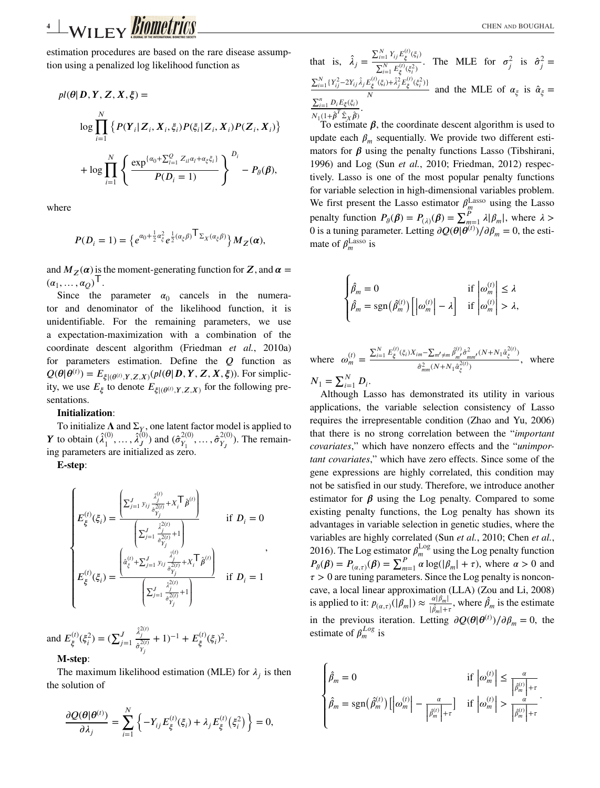estimation procedures are based on the rare disease assumption using a penalized log likelihood function as

$$
pl(\theta|\mathbf{D}, \mathbf{Y}, \mathbf{Z}, \mathbf{X}, \xi) =
$$
  

$$
\log \prod_{i=1}^{N} \left\{ P(\mathbf{Y}_i | \mathbf{Z}_i, \mathbf{X}_i, \xi_i) P(\xi_i | \mathbf{Z}_i, \mathbf{X}_i) P(\mathbf{Z}_i, \mathbf{X}_i) \right\}
$$
  

$$
+ \log \prod_{i=1}^{N} \left\{ \frac{\exp^{\{\alpha_0 + \sum_{i=1}^{Q} Z_{ii} \alpha_i + \alpha_{\xi} \xi_i\}}}{P(D_i = 1)} \right\}^{D_i} - P_{\vartheta}(\beta),
$$

where

$$
P(D_i=1)=\big\{e^{\alpha_0+\frac{1}{2}\alpha_{\xi}^2}e^{\frac{1}{2}(\alpha_{\xi}\beta)}\mathsf{T}_{\Sigma_X(\alpha_{\xi}\beta)}\big\}M_Z(\alpha),
$$

and  $M_{\rm z}(\alpha)$  is the moment-generating function for Z, and  $\alpha =$  $(\alpha_1, \ldots, \alpha_Q)^\mathsf{T}.$ 

Since the parameter  $\alpha_0$  cancels in the numera-<br>cand denominator of the likelihood function it is tor and denominator of the likelihood function, it is unidentifiable. For the remaining parameters, we use a expectation-maximization with a combination of the coordinate descent algorithm (Friedman *et al.*, 2010a) for parameters estimation. Define the  $Q$  function as  $Q(\theta | \theta^{(t)}) = E_{\xi | (\theta^{(t)}, Y, Z, X)}(p l(\theta | D, Y, Z, X, \xi))$ . For simplic-<br>ity we use *F*, to denote *F*, so for the following preity, we use  $E_{\xi}$  to denote  $E_{\xi|(\theta^{(t)}, Y, Z, X)}$  for the following presentations.

#### **Initialization**:

To initialize  $\Lambda$  and  $\Sigma_Y$ , one latent factor model is applied to  $\hat{\lambda}^{(0)}$  and  $(\hat{\lambda}^{2(0)}$  and  $(\hat{\lambda}^{2(0)}$  and  $(\hat{\lambda}^{2(0)})$ . The remain *Y* to obtain  $(\hat{\lambda}_1^{(0)}, \ldots, \hat{\lambda}_J^{(0)})$  and  $(\hat{\sigma}_{Y_1}^{2(0)}, \ldots, \hat{\sigma}_{Y_J}^{2(0)})$ . The remain-<br>ing parameters are initialized as zero. ing parameters are initialized as zero.

**E-step**:

$$
\begin{cases} E_{\xi}^{(t)}(\xi_i) = \frac{\left(\sum_{j=1}^J y_{ij} \frac{\hat{\lambda}_j^{(t)}}{\hat{\sigma}_{Y_j}^{2(t)}} + X_i^\top \hat{\beta}^{(t)}\right)}{\left(\sum_{j=1}^J \frac{\hat{\lambda}_j^{2(t)}}{\hat{\sigma}_{Y_j}^{2(t)}} + 1\right)} & \text{if } D_i = 0\\ E_{\xi}^{(t)}(\xi_i) = \frac{\left(\hat{\alpha}_{\xi}^{(t)} + \sum_{j=1}^J y_{ij} \frac{\hat{\lambda}_j^{(t)}}{\hat{\sigma}_{Y_j}^{2(t)}} + X_i^\top \hat{\beta}^{(t)}\right)}{\left(\sum_{j=1}^J \frac{\hat{\lambda}_j^{2(t)}}{\hat{\sigma}_{Y_j}^{2(t)}} + 1\right)} & \text{if } D_i = 1 \end{cases},
$$

and  $E_{\xi}^{(t)}(\xi_i^2) = (\sum_{j=1}^{J}$  $\hat{\lambda}_j^{2(t)}$  $\frac{\lambda_j}{\hat{\sigma}_{Y_j}^{2(t)}} + 1)^{-1} + E_{\xi}^{(t)}(\xi_i)^2.$ 

#### **M-step**:

The maximum likelihood estimation (MLE) for  $\lambda_i$  is then the solution of

$$
\frac{\partial \mathcal{Q}(\theta | \theta^{(i)})}{\partial \lambda_j} = \sum_{i=1}^N \left\{ -Y_{ij} E_{\xi}^{(i)}(\xi_i) + \lambda_j E_{\xi}^{(i)}(\xi_i^2) \right\} = 0,
$$

that is, 
$$
\hat{\lambda}_j = \frac{\sum_{i=1}^N Y_{ij} E_{\xi}^{(i)}(\xi_i)}{\sum_{i=1}^N E_{\xi}^{(i)}(\xi_i)}
$$
. The MLE for  $\sigma_j^2$  is  $\hat{\sigma}_j^2 = \frac{\sum_{i=1}^N (Y_{ij}^2 - 2Y_{ij}\hat{\lambda}_j E_{\xi}^{(i)}(\xi_i) + \hat{\lambda}_j^2 E_{\xi}^{(i)}(\xi_i^2))}{N}$  and the MLE of  $\alpha_{\xi}$  is  $\hat{\alpha}_{\xi} = \frac{\sum_{i=1}^n D_i E_{\xi}(\xi_i)}{N} \cdot \frac{N}{N}$ .

 $N_1(1+\hat{\beta}^T\hat{\Sigma}_X\hat{\beta})$ <br>To estimate  $\beta$ , the coordinate descent algorithm is used to update each  $\beta_m$  sequentially. We provide two different estimators for  $\beta$  using the penalty functions Lasso (Tibshirani, 1996) and Log (Sun *et al.*, 2010; Friedman, 2012) respectively. Lasso is one of the most popular penalty functions for variable selection in high-dimensional variables problem. We first present the Lasso estimator  $\rho_{\underline{m}}^{\text{Lasso}}$  using the Lasso penalty function  $P_{\theta}(\beta) = P_{(\lambda)}(\beta) = \sum_{m=1}^{P} \lambda |\beta_m|$ , where  $\lambda > 0$  is a tuning parameter Letting  $\partial O(\theta | \theta^{(1)}) / \partial \theta = 0$  the esti-0 is a tuning parameter. Letting  $\partial Q(\theta | \theta^{(t)}) / \partial \beta_m = 0$ , the esti-<br>mate of  $\beta^{\text{Lasso}}$  is mate of  $\beta_m^{\text{Lasso}}$  is

$$
\begin{cases}\n\hat{\beta}_m = 0 & \text{if } \left| \omega_m^{(t)} \right| \le \lambda \\
\hat{\beta}_m = \text{sgn}(\hat{\beta}_m^{(t)}) \left[ \left| \omega_m^{(t)} \right| - \lambda \right] & \text{if } \left| \omega_m^{(t)} \right| > \lambda,\n\end{cases}
$$

where  $\omega_m^{(t)} =$  $\sum_{i=1}^{N} E_{\xi}^{(t)}(\xi_i) X_{im} - \sum_{m' \neq m} \hat{\beta}_{m'}^{(t)} \hat{\sigma}_{mm'}^2 (N + N_1 \hat{\alpha}_{\xi}^{2(t)})$  $\frac{m^2 - m^2 m^2 m^3 m^4}{m^2 m^2 m^2}$ , where  $\frac{\hat{\sigma}_{mm}^2(N+N_1 \hat{\alpha}_{\xi}^{2(t)})}{N}$ 

 $N_1 = \sum_{i=1}^{N} D_i.$  Although I.

Although Lasso has demonstrated its utility in various applications, the variable selection consistency of Lasso requires the irrepresentable condition (Zhao and Yu, 2006) that there is no strong correlation between the "*important covariates*," which have nonzero effects and the "*unimportant covariates*," which have zero effects. Since some of the gene expressions are highly correlated, this condition may not be satisfied in our study. Therefore, we introduce another estimator for  $\beta$  using the Log penalty. Compared to some existing penalty functions, the Log penalty has shown its advantages in variable selection in genetic studies, where the variables are highly correlated (Sun *et al.*, 2010; Chen *et al.*, 2016). The Log estimator  $\beta_m^{\text{Log}}$  using the Log penalty function  $P_{\theta}(\beta) = P_{(\alpha,\tau)}(\beta) = \sum_{m=1}^{P} \alpha \log(|\beta_m| + \tau)$ , where  $\alpha > 0$  and  $\tau > 0$  are tuning parameters. Since the Log penalty is noncon- $\tau > 0$  are tuning parameters. Since the Log penalty is nonconcave, a local linear approximation (LLA) (Zou and Li, 2008) is applied to it:  $p_{(\alpha,\tau)}(|\beta_m|) \approx \frac{\alpha |\beta_m|}{|\hat{\beta}_m| + \tau}$ , where  $\hat{\beta}_m$  is the estimate in the previous iteration. Letting  $\partial Q(\theta | \theta^{(t)}) / \partial \beta_m = 0$ , the estimate of  $\theta^{Log}$  is estimate of  $\beta_m^{Log}$  is

$$
\begin{cases}\n\hat{\beta}_m = 0 & \text{if } \left| \omega_m^{(t)} \right| \le \frac{\alpha}{\left| \hat{\beta}_m^{(t)} \right| + \tau} \\
\hat{\beta}_m = \text{sgn}(\hat{\beta}_m^{(t)}) \left[ \left| \omega_m^{(t)} \right| - \frac{\alpha}{\left| \hat{\beta}_m^{(t)} \right| + \tau} \right] & \text{if } \left| \omega_m^{(t)} \right| > \frac{\alpha}{\left| \hat{\beta}_m^{(t)} \right| + \tau}.\n\end{cases}
$$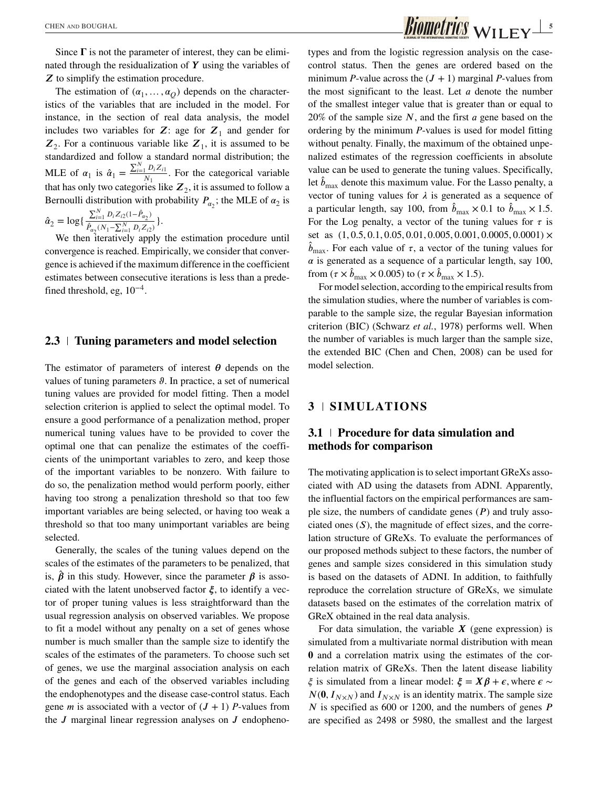Since  $\Gamma$  is not the parameter of interest, they can be eliminated through the residualization of  $Y$  using the variables of  $Z$  to simplify the estimation procedure.

The estimation of  $(\alpha_1, \ldots, \alpha_O)$  depends on the characteristics of the variables that are included in the model. For instance, in the section of real data analysis, the model includes two variables for Z: age for  $Z_1$  and gender for  $Z_2$ . For a continuous variable like  $Z_1$  it is assumed to be  $\mathbb{Z}_2$ . For a continuous variable like  $\mathbb{Z}_1$ , it is assumed to be standardized and follow a standard pormal distribution; the standardized and follow a standard normal distribution; the MLE of  $\alpha_1$  is  $\hat{\alpha}_1 = \frac{\sum_{i=1}^{N} D_i Z_{i1}}{N_1}$ . For the categorical variable that has only two categories like  $Z_2$ , it is assumed to follow a<br>Bernoulli distribution with probability  $P_1$  the MLE of  $\alpha$  is Bernoulli distribution with probability  $P_{\alpha_2}$ ; the MLE of  $\alpha_2$  is

 $\hat{\alpha}_2 = \log\{$  $\frac{\sum_{i=1}^{N} D_i Z_{i2} (1-\hat{P}_{\alpha_2})}{\hat{P}_{\alpha_2} (N_1 - \sum_{i=1}^{N} D_i Z_{i2})}$ .<br> *n* iteratively apply

We then iteratively apply the estimation procedure until convergence is reached. Empirically, we consider that convergence is achieved if the maximum difference in the coefficient estimates between consecutive iterations is less than a predefined threshold, eg,  $10^{-4}$ .

## **2.3 Tuning parameters and model selection**

The estimator of parameters of interest  $\theta$  depends on the values of tuning parameters  $\vartheta$ . In practice, a set of numerical tuning values are provided for model fitting. Then a model selection criterion is applied to select the optimal model. To ensure a good performance of a penalization method, proper numerical tuning values have to be provided to cover the optimal one that can penalize the estimates of the coefficients of the unimportant variables to zero, and keep those of the important variables to be nonzero. With failure to do so, the penalization method would perform poorly, either having too strong a penalization threshold so that too few important variables are being selected, or having too weak a threshold so that too many unimportant variables are being selected.

Generally, the scales of the tuning values depend on the scales of the estimates of the parameters to be penalized, that is,  $\hat{\beta}$  in this study. However, since the parameter  $\beta$  is associated with the latent unobserved factor  $\xi$ , to identify a vector of proper tuning values is less straightforward than the usual regression analysis on observed variables. We propose to fit a model without any penalty on a set of genes whose number is much smaller than the sample size to identify the scales of the estimates of the parameters. To choose such set of genes, we use the marginal association analysis on each of the genes and each of the observed variables including the endophenotypes and the disease case-control status. Each gene *m* is associated with a vector of  $(J + 1)$  *P*-values from the  $J$  marginal linear regression analyses on  $J$  endophenotypes and from the logistic regression analysis on the casecontrol status. Then the genes are ordered based on the minimum *P*-value across the  $(J + 1)$  marginal *P*-values from the most significant to the least. Let  $a$  denote the number of the smallest integer value that is greater than or equal to  $20\%$  of the sample size N, and the first a gene based on the ordering by the minimum *P*-values is used for model fitting without penalty. Finally, the maximum of the obtained unpenalized estimates of the regression coefficients in absolute value can be used to generate the tuning values. Specifically, let  $\hat{b}_{\text{max}}$  denote this maximum value. For the Lasso penalty, a vector of tuning values for  $\lambda$  is generated as a sequence of a particular length, say 100, from  $\hat{b}_{\text{max}} \times 0.1$  to  $\hat{b}_{\text{max}} \times 1.5$ .<br>For the Log panalty a vector of the tuning values for  $\tau$  is For the Log penalty, a vector of the tuning values for  $\tau$  is set as (1*,* 0*.*5*,* 0*.*1*,* 0*.*05*,* 0*.*01*,* 0*.*005*,* 0*.*001*,* 0*.*0005*,* 0*.*0001) ×  $\hat{b}_{\text{max}}$ . For each value of  $\tau$ , a vector of the tuning values for  $\alpha$  is generated as a sequence of a particular length, say 100, from  $(\tau \times \hat{b}_{\text{max}} \times 0.005)$  to  $(\tau \times \hat{b}_{\text{max}} \times 1.5)$ .<br>For model selection, according to the amp

For model selection, according to the empirical results from the simulation studies, where the number of variables is comparable to the sample size, the regular Bayesian information criterion (BIC) (Schwarz *et al.*, 1978) performs well. When the number of variables is much larger than the sample size, the extended BIC (Chen and Chen, 2008) can be used for model selection.

## **3 SIMULATIONS**

## **3.1 Procedure for data simulation and methods for comparison**

The motivating application is to select important GReXs associated with AD using the datasets from ADNI. Apparently, the influential factors on the empirical performances are sample size, the numbers of candidate genes  $(P)$  and truly associated ones  $(S)$ , the magnitude of effect sizes, and the correlation structure of GReXs. To evaluate the performances of our proposed methods subject to these factors, the number of genes and sample sizes considered in this simulation study is based on the datasets of ADNI. In addition, to faithfully reproduce the correlation structure of GReXs, we simulate datasets based on the estimates of the correlation matrix of GReX obtained in the real data analysis.

For data simulation, the variable  $X$  (gene expression) is simulated from a multivariate normal distribution with mean and a correlation matrix using the estimates of the correlation matrix of GReXs. Then the latent disease liability  $\xi$  is simulated from a linear model:  $\xi = X\beta + \epsilon$ , where  $\epsilon \sim$  $N(0, I_{N \times N})$  and  $I_{N \times N}$  is an identity matrix. The sample size  $N$  is specified as 600 or 1200, and the numbers of genes  $P$ are specified as 2498 or 5980, the smallest and the largest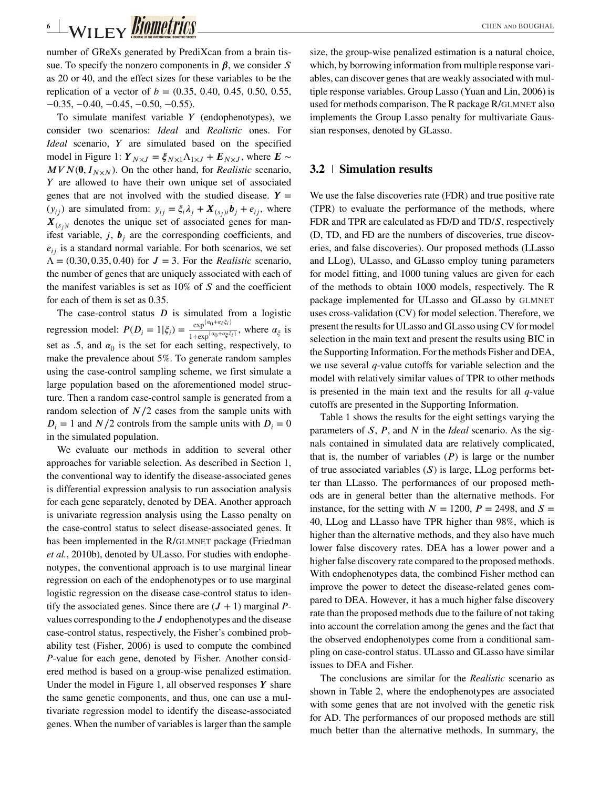number of GReXs generated by PrediXcan from a brain tissue. To specify the nonzero components in  $\beta$ , we consider S as 20 or 40, and the effect sizes for these variables to be the replication of a vector of  $b = (0.35, 0.40, 0.45, 0.50, 0.55,$  $-0.35, -0.40, -0.45, -0.50, -0.55$ .

To simulate manifest variable  $Y$  (endophenotypes), we consider two scenarios: *Ideal* and *Realistic* ones. For *Ideal* scenario, Y are simulated based on the specified model in Figure 1:  $Y_{N\times J} = \xi_{N\times 1}\Lambda_{1\times J} + E_{N\times J}$ , where  $E \sim$  $MVN(0, I_{N\times N})$ . On the other hand, for *Realistic* scenario,  $Y$  are allowed to have their own unique set of associated genes that are not involved with the studied disease.  $Y =$  $(y_{ij})$  are simulated from:  $y_{ij} = \xi_i \lambda_j + X_{(s_i)i} b_j + e_{ij}$ , where  $X_{(s_j)i}$  denotes the unique set of associated genes for man-<br>if est variable i. **h** are the corresponding coefficients and ifest variable,  $j$ ,  $\mathbf{b}_i$  are the corresponding coefficients, and  $e_{ii}$  is a standard normal variable. For both scenarios, we set  $\Lambda = (0.30, 0.35, 0.40)$  for  $J = 3$ . For the *Realistic* scenario, the number of genes that are uniquely associated with each of the manifest variables is set as  $10\%$  of  $S$  and the coefficient for each of them is set as 0.35.

The case-control status  $D$  is simulated from a logistic regression model:  $P(D_i = 1 | \xi_i) = \frac{\exp^{\{\alpha_0 + \alpha_\xi \xi_i\}}}{1 + \exp^{\{\alpha_0 + \alpha_\xi \xi_i\}}}$ , where  $\alpha_\xi$  is<br>set as 5 and  $\alpha_0$  is the set for each setting respectively to set as .5, and  $\alpha_0$  is the set for each setting, respectively, to make the prevalence about 5%. To generate random samples using the case-control sampling scheme, we first simulate a large population based on the aforementioned model structure. Then a random case-control sample is generated from a random selection of  $N/2$  cases from the sample units with  $D_i = 1$  and  $N/2$  controls from the sample units with  $D_i = 0$ in the simulated population.

We evaluate our methods in addition to several other approaches for variable selection. As described in Section 1, the conventional way to identify the disease-associated genes is differential expression analysis to run association analysis for each gene separately, denoted by DEA. Another approach is univariate regression analysis using the Lasso penalty on the case-control status to select disease-associated genes. It has been implemented in the R/GLMNET package (Friedman *et al.*, 2010b), denoted by ULasso. For studies with endophenotypes, the conventional approach is to use marginal linear regression on each of the endophenotypes or to use marginal logistic regression on the disease case-control status to identify the associated genes. Since there are  $(J + 1)$  marginal *P*values corresponding to the  $J$  endophenotypes and the disease case-control status, respectively, the Fisher's combined probability test (Fisher, 2006) is used to compute the combined *P*-value for each gene, denoted by Fisher. Another considered method is based on a group-wise penalized estimation. Under the model in Figure 1, all observed responses  $Y$  share the same genetic components, and thus, one can use a multivariate regression model to identify the disease-associated genes. When the number of variables is larger than the sample size, the group-wise penalized estimation is a natural choice, which, by borrowing information from multiple response variables, can discover genes that are weakly associated with multiple response variables. Group Lasso (Yuan and Lin, 2006) is used for methods comparison. The R package R/GLMNET also implements the Group Lasso penalty for multivariate Gaussian responses, denoted by GLasso.

## **3.2 Simulation results**

We use the false discoveries rate (FDR) and true positive rate (TPR) to evaluate the performance of the methods, where FDR and TPR are calculated as FD/D and TD/ $S$ , respectively (D, TD, and FD are the numbers of discoveries, true discoveries, and false discoveries). Our proposed methods (LLasso and LLog), ULasso, and GLasso employ tuning parameters for model fitting, and 1000 tuning values are given for each of the methods to obtain 1000 models, respectively. The R package implemented for ULasso and GLasso by GLMNET uses cross-validation (CV) for model selection. Therefore, we present the results for ULasso and GLasso using CV for model selection in the main text and present the results using BIC in the Supporting Information. For the methods Fisher and DEA, we use several *q*-value cutoffs for variable selection and the model with relatively similar values of TPR to other methods is presented in the main text and the results for all *q*-value cutoffs are presented in the Supporting Information.

Table 1 shows the results for the eight settings varying the parameters of  $S$ ,  $P$ , and  $N$  in the *Ideal* scenario. As the signals contained in simulated data are relatively complicated, that is, the number of variables  $(P)$  is large or the number of true associated variables  $(S)$  is large, LLog performs better than LLasso. The performances of our proposed methods are in general better than the alternative methods. For instance, for the setting with  $N = 1200$ ,  $P = 2498$ , and  $S =$ 40, LLog and LLasso have TPR higher than 98%, which is higher than the alternative methods, and they also have much lower false discovery rates. DEA has a lower power and a higher false discovery rate compared to the proposed methods. With endophenotypes data, the combined Fisher method can improve the power to detect the disease-related genes compared to DEA. However, it has a much higher false discovery rate than the proposed methods due to the failure of not taking into account the correlation among the genes and the fact that the observed endophenotypes come from a conditional sampling on case-control status. ULasso and GLasso have similar issues to DEA and Fisher.

The conclusions are similar for the *Realistic* scenario as shown in Table 2, where the endophenotypes are associated with some genes that are not involved with the genetic risk for AD. The performances of our proposed methods are still much better than the alternative methods. In summary, the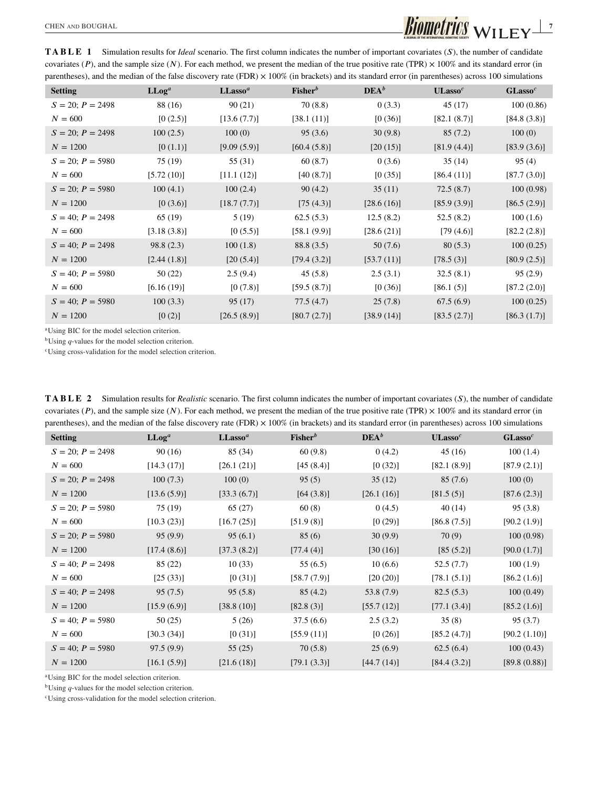**TABLE 1** Simulation results for *Ideal* scenario. The first column indicates the number of important covariates (S), the number of candidate covariates (P), and the sample size (N). For each method, we present the median of the true positive rate (TPR)  $\times$  100% and its standard error (in parentheses), and the median of the false discovery rate (FDR)  $\times$  100% (in brackets) and its standard error (in parentheses) across 100 simulations

| <b>Setting</b>        | $LLoq^a$    | LLasso <sup>a</sup> | $Fisher^b$   | DEA <sup>b</sup> | ULasso <sup>c</sup> | GLasso <sup>c</sup> |
|-----------------------|-------------|---------------------|--------------|------------------|---------------------|---------------------|
|                       |             |                     |              |                  |                     |                     |
| $S = 20$ ; $P = 2498$ | 88 (16)     | 90(21)              | 70(8.8)      | 0(3.3)           | 45(17)              | 100(0.86)           |
| $N = 600$             | [0(2.5)]    | [13.6(7.7)]         | [38.1(11)]   | [0(36)]          | [82.1(8.7)]         | [84.8(3.8)]         |
| $S = 20; P = 2498$    | 100(2.5)    | 100(0)              | 95(3.6)      | 30(9.8)          | 85(7.2)             | 100(0)              |
| $N = 1200$            | [0(1.1)]    | [9.09(5.9)]         | [60.4(5.8)]  | [20(15)]         | [81.9(4.4)]         | [83.9(3.6)]         |
| $S = 20$ ; $P = 5980$ | 75 (19)     | 55 (31)             | 60(8.7)      | 0(3.6)           | 35(14)              | 95(4)               |
| $N = 600$             | [5.72(10)]  | [11.1(12)]          | [40(8.7)]    | [0(35)]          | [86.4(11)]          | [87.7(3.0)]         |
| $S = 20$ ; $P = 5980$ | 100(4.1)    | 100(2.4)            | 90(4.2)      | 35(11)           | 72.5(8.7)           | 100(0.98)           |
| $N = 1200$            | [0(3.6)]    | [18.7(7.7)]         | [75(4.3)]    | [28.6(16)]       | [85.9(3.9)]         | [86.5(2.9)]         |
| $S = 40$ ; $P = 2498$ | 65 (19)     | 5(19)               | 62.5(5.3)    | 12.5(8.2)        | 52.5(8.2)           | 100(1.6)            |
| $N = 600$             | [3.18(3.8)] | [0(5.5)]            | [58.1 (9.9)] | [28.6(21)]       | [79(4.6)]           | [82.2 (2.8)]        |
| $S = 40; P = 2498$    | 98.8(2.3)   | 100(1.8)            | 88.8 (3.5)   | 50(7.6)          | 80(5.3)             | 100(0.25)           |
| $N = 1200$            | [2.44(1.8)] | [20(5.4)]           | [79.4(3.2)]  | [53.7(11)]       | [78.5(3)]           | [80.9(2.5)]         |
| $S = 40; P = 5980$    | 50 (22)     | 2.5(9.4)            | 45(5.8)      | 2.5(3.1)         | 32.5(8.1)           | 95(2.9)             |
| $N = 600$             | [6.16(19)]  | [0(7.8)]            | [59.5(8.7)]  | [0(36)]          | [86.1(5)]           | [87.2 (2.0)]        |
| $S = 40; P = 5980$    | 100(3.3)    | 95(17)              | 77.5(4.7)    | 25(7.8)          | 67.5(6.9)           | 100(0.25)           |
| $N = 1200$            | [0(2)]      | [26.5(8.9)]         | [80.7(2.7)]  | [38.9(14)]       | [83.5(2.7)]         | [86.3(1.7)]         |
|                       |             |                     |              |                  |                     |                     |

aUsing BIC for the model selection criterion.

bUsing *q*-values for the model selection criterion.

cUsing cross-validation for the model selection criterion.

**TABLE 2** Simulation results for *Realistic* scenario. The first column indicates the number of important covariates (S), the number of candidate covariates ( $P$ ), and the sample size (N). For each method, we present the median of the true positive rate (TPR)  $\times$  100% and its standard error (in parentheses), and the median of the false discovery rate (FDR)  $\times$  100% (in brackets) and its standard error (in parentheses) across 100 simulations

| 90(16)<br>85 (34)<br>60(9.8)<br>0(4.2)<br>45(16)<br>100(1.4)<br>$S = 20$ ; $P = 2498$<br>$N = 600$<br>[14.3(17)]<br>[26.1(21)]<br>[45(8.4)]<br>[0(32)]<br>[82.1 (8.9)]<br>[87.9(2.1)]<br>100(7.3)<br>85(7.6)<br>100(0)<br>95(5)<br>35(12)<br>100(0)<br>$S = 20$ ; $P = 2498$<br>[26.1(16)]<br>$N = 1200$<br>[13.6(5.9)]<br>[33.3(6.7)]<br>[64 (3.8)]<br>[81.5(5)]<br>[87.6(2.3)]<br>60(8)<br>95(3.8)<br>$S = 20; P = 5980$<br>75 (19)<br>65(27)<br>0(4.5)<br>40(14)<br>[10.3(23)]<br>[16.7(25)]<br>[51.9(8)]<br>[0(29)]<br>$N = 600$<br>[86.8(7.5)]<br>[90.2(1.9)]<br>95(9.9)<br>95(6.1)<br>85(6)<br>30(9.9)<br>100(0.98)<br>$S = 20$ ; $P = 5980$<br>70(9)<br>[17.4(8.6)]<br>$N = 1200$<br>[37.3(8.2)]<br>[77.4(4)]<br>[30(16)]<br>[85(5.2)]<br>[90.0(1.7)]<br>85 (22)<br>10(33)<br>55(6.5)<br>10(6.6)<br>52.5(7.7)<br>100(1.9)<br>$S = 40; P = 2498$<br>$N = 600$<br>[25 (33)]<br>[0(31)]<br>[58.7(7.9)]<br>[20 (20)]<br>[78.1(5.1)]<br>[86.2(1.6)]<br>95(7.5)<br>95(5.8)<br>85(4.2)<br>53.8 (7.9)<br>82.5(5.3)<br>100(0.49)<br>$S = 40; P = 2498$<br>$N = 1200$<br>[15.9(6.9)]<br>[38.8(10)]<br>[82.8(3)]<br>[55.7(12)]<br>[77.1(3.4)]<br>[85.2(1.6)]<br>37.5(6.6)<br>$S = 40; P = 5980$<br>50(25)<br>5(26)<br>2.5(3.2)<br>35(8)<br>95(3.7)<br>[30.3(34)]<br>[0(31)]<br>[90.2(1.10)]<br>$N = 600$<br>[55.9(11)]<br>[0(26)]<br>[85.2(4.7)]<br>97.5(9.9)<br>55(25)<br>25(6.9)<br>62.5(6.4)<br>100(0.43)<br>$S = 40$ ; $P = 5980$<br>70(5.8)<br>$N = 1200$<br>[16.1 (5.9)]<br>[21.6(18)]<br>[79.1 (3.3)]<br>[44.7(14)]<br>[84.4(3.2)]<br>[89.8(0.88)] | <b>Setting</b> | $LLoq^a$ | LLasso <sup>a</sup> | $Fisher^b$ | DEA <sup>b</sup> | ULasso <sup>c</sup> | GLasso <sup>c</sup> |
|-------------------------------------------------------------------------------------------------------------------------------------------------------------------------------------------------------------------------------------------------------------------------------------------------------------------------------------------------------------------------------------------------------------------------------------------------------------------------------------------------------------------------------------------------------------------------------------------------------------------------------------------------------------------------------------------------------------------------------------------------------------------------------------------------------------------------------------------------------------------------------------------------------------------------------------------------------------------------------------------------------------------------------------------------------------------------------------------------------------------------------------------------------------------------------------------------------------------------------------------------------------------------------------------------------------------------------------------------------------------------------------------------------------------------------------------------------------------------------------------------------------------------------------------------------|----------------|----------|---------------------|------------|------------------|---------------------|---------------------|
|                                                                                                                                                                                                                                                                                                                                                                                                                                                                                                                                                                                                                                                                                                                                                                                                                                                                                                                                                                                                                                                                                                                                                                                                                                                                                                                                                                                                                                                                                                                                                       |                |          |                     |            |                  |                     |                     |
|                                                                                                                                                                                                                                                                                                                                                                                                                                                                                                                                                                                                                                                                                                                                                                                                                                                                                                                                                                                                                                                                                                                                                                                                                                                                                                                                                                                                                                                                                                                                                       |                |          |                     |            |                  |                     |                     |
|                                                                                                                                                                                                                                                                                                                                                                                                                                                                                                                                                                                                                                                                                                                                                                                                                                                                                                                                                                                                                                                                                                                                                                                                                                                                                                                                                                                                                                                                                                                                                       |                |          |                     |            |                  |                     |                     |
|                                                                                                                                                                                                                                                                                                                                                                                                                                                                                                                                                                                                                                                                                                                                                                                                                                                                                                                                                                                                                                                                                                                                                                                                                                                                                                                                                                                                                                                                                                                                                       |                |          |                     |            |                  |                     |                     |
|                                                                                                                                                                                                                                                                                                                                                                                                                                                                                                                                                                                                                                                                                                                                                                                                                                                                                                                                                                                                                                                                                                                                                                                                                                                                                                                                                                                                                                                                                                                                                       |                |          |                     |            |                  |                     |                     |
|                                                                                                                                                                                                                                                                                                                                                                                                                                                                                                                                                                                                                                                                                                                                                                                                                                                                                                                                                                                                                                                                                                                                                                                                                                                                                                                                                                                                                                                                                                                                                       |                |          |                     |            |                  |                     |                     |
|                                                                                                                                                                                                                                                                                                                                                                                                                                                                                                                                                                                                                                                                                                                                                                                                                                                                                                                                                                                                                                                                                                                                                                                                                                                                                                                                                                                                                                                                                                                                                       |                |          |                     |            |                  |                     |                     |
|                                                                                                                                                                                                                                                                                                                                                                                                                                                                                                                                                                                                                                                                                                                                                                                                                                                                                                                                                                                                                                                                                                                                                                                                                                                                                                                                                                                                                                                                                                                                                       |                |          |                     |            |                  |                     |                     |
|                                                                                                                                                                                                                                                                                                                                                                                                                                                                                                                                                                                                                                                                                                                                                                                                                                                                                                                                                                                                                                                                                                                                                                                                                                                                                                                                                                                                                                                                                                                                                       |                |          |                     |            |                  |                     |                     |
|                                                                                                                                                                                                                                                                                                                                                                                                                                                                                                                                                                                                                                                                                                                                                                                                                                                                                                                                                                                                                                                                                                                                                                                                                                                                                                                                                                                                                                                                                                                                                       |                |          |                     |            |                  |                     |                     |
|                                                                                                                                                                                                                                                                                                                                                                                                                                                                                                                                                                                                                                                                                                                                                                                                                                                                                                                                                                                                                                                                                                                                                                                                                                                                                                                                                                                                                                                                                                                                                       |                |          |                     |            |                  |                     |                     |
|                                                                                                                                                                                                                                                                                                                                                                                                                                                                                                                                                                                                                                                                                                                                                                                                                                                                                                                                                                                                                                                                                                                                                                                                                                                                                                                                                                                                                                                                                                                                                       |                |          |                     |            |                  |                     |                     |
|                                                                                                                                                                                                                                                                                                                                                                                                                                                                                                                                                                                                                                                                                                                                                                                                                                                                                                                                                                                                                                                                                                                                                                                                                                                                                                                                                                                                                                                                                                                                                       |                |          |                     |            |                  |                     |                     |
|                                                                                                                                                                                                                                                                                                                                                                                                                                                                                                                                                                                                                                                                                                                                                                                                                                                                                                                                                                                                                                                                                                                                                                                                                                                                                                                                                                                                                                                                                                                                                       |                |          |                     |            |                  |                     |                     |
|                                                                                                                                                                                                                                                                                                                                                                                                                                                                                                                                                                                                                                                                                                                                                                                                                                                                                                                                                                                                                                                                                                                                                                                                                                                                                                                                                                                                                                                                                                                                                       |                |          |                     |            |                  |                     |                     |
|                                                                                                                                                                                                                                                                                                                                                                                                                                                                                                                                                                                                                                                                                                                                                                                                                                                                                                                                                                                                                                                                                                                                                                                                                                                                                                                                                                                                                                                                                                                                                       |                |          |                     |            |                  |                     |                     |

aUsing BIC for the model selection criterion.

bUsing *q*-values for the model selection criterion.

cUsing cross-validation for the model selection criterion.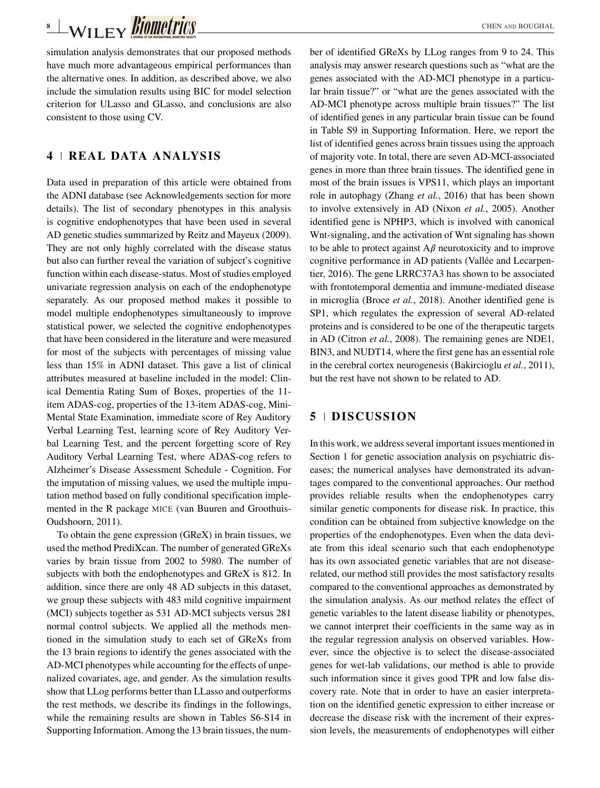# **8** WILEY **BIOMIC CHEN AND BOUGHAL**

simulation analysis demonstrates that our proposed methods have much more advantageous empirical performances than the alternative ones. In addition, as described above, we also include the simulation results using BIC for model selection criterion for ULasso and GLasso, and conclusions are also consistent to those using CV.

## **4 REAL DATA ANALYSIS**

Data used in preparation of this article were obtained from the ADNI database (see Acknowledgements section for more details). The list of secondary phenotypes in this analysis is cognitive endophenotypes that have been used in several AD genetic studies summarized by Reitz and Mayeux (2009). They are not only highly correlated with the disease status but also can further reveal the variation of subject's cognitive function within each disease-status. Most of studies employed univariate regression analysis on each of the endophenotype separately. As our proposed method makes it possible to model multiple endophenotypes simultaneously to improve statistical power, we selected the cognitive endophenotypes that have been considered in the literature and were measured for most of the subjects with percentages of missing value less than 15% in ADNI dataset. This gave a list of clinical attributes measured at baseline included in the model: Clinical Dementia Rating Sum of Boxes, properties of the 11 item ADAS-cog, properties of the 13-item ADAS-cog, Mini-Mental State Examination, immediate score of Rey Auditory Verbal Learning Test, learning score of Rey Auditory Verbal Learning Test, and the percent forgetting score of Rey Auditory Verbal Learning Test, where ADAS-cog refers to Alzheimer's Disease Assessment Schedule - Cognition. For the imputation of missing values, we used the multiple imputation method based on fully conditional specification implemented in the R package MICE (van Buuren and Groothuis-Oudshoorn, 2011).

To obtain the gene expression (GReX) in brain tissues, we used the method PrediXcan. The number of generated GReXs varies by brain tissue from 2002 to 5980. The number of subjects with both the endophenotypes and GReX is 812. In addition, since there are only 48 AD subjects in this dataset, we group these subjects with 483 mild cognitive impairment (MCI) subjects together as 531 AD-MCI subjects versus 281 normal control subjects. We applied all the methods mentioned in the simulation study to each set of GReXs from the 13 brain regions to identify the genes associated with the AD-MCI phenotypes while accounting for the effects of unpenalized covariates, age, and gender. As the simulation results show that LLog performs better than LLasso and outperforms the rest methods, we describe its findings in the followings, while the remaining results are shown in Tables S6-S14 in Supporting Information. Among the 13 brain tissues, the number of identified GReXs by LLog ranges from 9 to 24. This analysis may answer research questions such as "what are the genes associated with the AD-MCI phenotype in a particular brain tissue?" or "what are the genes associated with the AD-MCI phenotype across multiple brain tissues?" The list of identified genes in any particular brain tissue can be found in Table S9 in Supporting Information. Here, we report the list of identified genes across brain tissues using the approach of majority vote. In total, there are seven AD-MCI-associated genes in more than three brain tissues. The identified gene in most of the brain issues is VPS11, which plays an important role in autophagy (Zhang *et al.*, 2016) that has been shown to involve extensively in AD (Nixon *et al.*, 2005). Another identified gene is NPHP3, which is involved with canonical Wnt-signaling, and the activation of Wnt signaling has shown to be able to protect against  $A\beta$  neurotoxicity and to improve cognitive performance in AD patients (Vallée and Lecarpentier, 2016). The gene LRRC37A3 has shown to be associated with frontotemporal dementia and immune-mediated disease in microglia (Broce *et al.*, 2018). Another identified gene is SP1, which regulates the expression of several AD-related proteins and is considered to be one of the therapeutic targets in AD (Citron *et al.*, 2008). The remaining genes are NDE1, BIN3, and NUDT14, where the first gene has an essential role in the cerebral cortex neurogenesis (Bakircioglu *et al.*, 2011), but the rest have not shown to be related to AD.

## **5 DISCUSSION**

In this work, we address several important issues mentioned in Section 1 for genetic association analysis on psychiatric diseases; the numerical analyses have demonstrated its advantages compared to the conventional approaches. Our method provides reliable results when the endophenotypes carry similar genetic components for disease risk. In practice, this condition can be obtained from subjective knowledge on the properties of the endophenotypes. Even when the data deviate from this ideal scenario such that each endophenotype has its own associated genetic variables that are not diseaserelated, our method still provides the most satisfactory results compared to the conventional approaches as demonstrated by the simulation analysis. As our method relates the effect of genetic variables to the latent disease liability or phenotypes, we cannot interpret their coefficients in the same way as in the regular regression analysis on observed variables. However, since the objective is to select the disease-associated genes for wet-lab validations, our method is able to provide such information since it gives good TPR and low false discovery rate. Note that in order to have an easier interpretation on the identified genetic expression to either increase or decrease the disease risk with the increment of their expression levels, the measurements of endophenotypes will either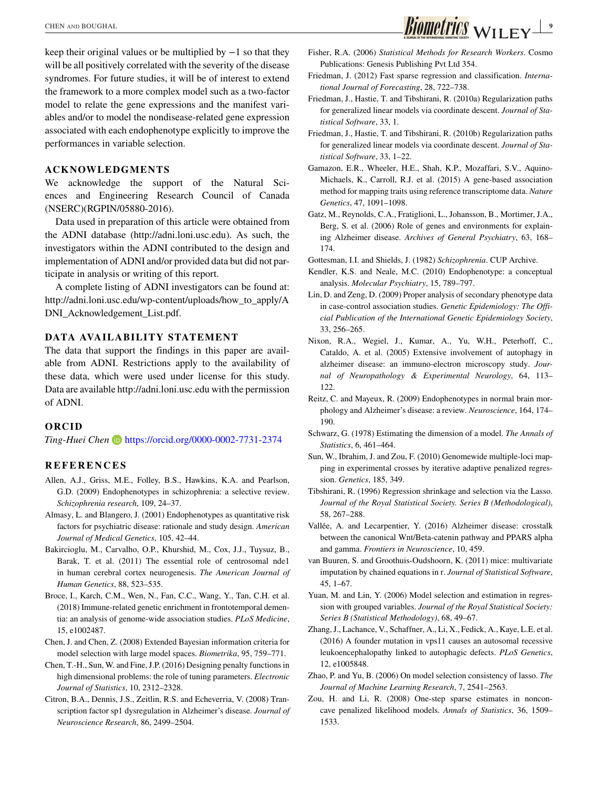keep their original values or be multiplied by −1 so that they will be all positively correlated with the severity of the disease syndromes. For future studies, it will be of interest to extend the framework to a more complex model such as a two-factor model to relate the gene expressions and the manifest variables and/or to model the nondisease-related gene expression associated with each endophenotype explicitly to improve the performances in variable selection.

## **ACKNOWLEDGMENTS**

We acknowledge the support of the Natural Sciences and Engineering Research Council of Canada (NSERC)(RGPIN/05880-2016).

Data used in preparation of this article were obtained from the ADNI database [\(http://adni.loni.usc.edu\)](http://adni.loni.usc.edu). As such, the investigators within the ADNI contributed to the design and implementation of ADNI and/or provided data but did not participate in analysis or writing of this report.

A complete listing of ADNI investigators can be found at: [http://adni.loni.usc.edu/wp-content/uploads/how\\_to\\_apply/A](http://adni.loni.usc.edu/wp-content/uploads/how_to_apply/ADNI_Acknowledgement_List.pdf) [DNI\\_Acknowledgement\\_List.pdf.](http://adni.loni.usc.edu/wp-content/uploads/how_to_apply/ADNI_Acknowledgement_List.pdf)

## **DATA AVAILABILITY STATEMENT**

The data that support the findings in this paper are available from ADNI. Restrictions apply to the availability of these data, which were used under license for this study. Data are available<http://adni.loni.usc.edu> with the permission of ADNI.

#### **ORCID**

*Ting-Huei Chen* <https://orcid.org/0000-0002-7731-2374>

### **REFERENCES**

- Allen, A.J., Griss, M.E., Folley, B.S., Hawkins, K.A. and Pearlson, G.D. (2009) Endophenotypes in schizophrenia: a selective review. *Schizophrenia research*, 109, 24–37.
- Almasy, L. and Blangero, J. (2001) Endophenotypes as quantitative risk factors for psychiatric disease: rationale and study design. *American Journal of Medical Genetics*, 105, 42–44.
- Bakircioglu, M., Carvalho, O.P., Khurshid, M., Cox, J.J., Tuysuz, B., Barak, T. et al. (2011) The essential role of centrosomal nde1 in human cerebral cortex neurogenesis. *The American Journal of Human Genetics*, 88, 523–535.
- Broce, I., Karch, C.M., Wen, N., Fan, C.C., Wang, Y., Tan, C.H. et al. (2018) Immune-related genetic enrichment in frontotemporal dementia: an analysis of genome-wide association studies. *PLoS Medicine*, 15, e1002487.
- Chen, J. and Chen, Z. (2008) Extended Bayesian information criteria for model selection with large model spaces. *Biometrika*, 95, 759–771.
- Chen, T.-H., Sun, W. and Fine, J.P. (2016) Designing penalty functions in high dimensional problems: the role of tuning parameters. *Electronic Journal of Statistics*, 10, 2312–2328.
- Citron, B.A., Dennis, J.S., Zeitlin, R.S. and Echeverria, V. (2008) Transcription factor sp1 dysregulation in Alzheimer's disease. *Journal of Neuroscience Research*, 86, 2499–2504.
- Fisher, R.A. (2006) *Statistical Methods for Research Workers*. Cosmo Publications: Genesis Publishing Pvt Ltd 354.
- Friedman, J. (2012) Fast sparse regression and classification. *International Journal of Forecasting*, 28, 722–738.
- Friedman, J., Hastie, T. and Tibshirani, R. (2010a) Regularization paths for generalized linear models via coordinate descent. *Journal of Statistical Software*, 33, 1.
- Friedman, J., Hastie, T. and Tibshirani, R. (2010b) Regularization paths for generalized linear models via coordinate descent. *Journal of Statistical Software*, 33, 1–22.
- Gamazon, E.R., Wheeler, H.E., Shah, K.P., Mozaffari, S.V., Aquino-Michaels, K., Carroll, R.J. et al. (2015) A gene-based association method for mapping traits using reference transcriptome data. *Nature Genetics*, 47, 1091–1098.
- Gatz, M., Reynolds, C.A., Fratiglioni, L., Johansson, B., Mortimer, J.A., Berg, S. et al. (2006) Role of genes and environments for explaining Alzheimer disease. *Archives of General Psychiatry*, 63, 168– 174.

Gottesman, I.I. and Shields, J. (1982) *Schizophrenia*. CUP Archive.

- Kendler, K.S. and Neale, M.C. (2010) Endophenotype: a conceptual analysis. *Molecular Psychiatry*, 15, 789–797.
- Lin, D. and Zeng, D. (2009) Proper analysis of secondary phenotype data in case-control association studies. *Genetic Epidemiology: The Official Publication of the International Genetic Epidemiology Society*, 33, 256–265.
- Nixon, R.A., Wegiel, J., Kumar, A., Yu, W.H., Peterhoff, C., Cataldo, A. et al. (2005) Extensive involvement of autophagy in alzheimer disease: an immuno-electron microscopy study. *Journal of Neuropathology & Experimental Neurology*, 64, 113– 122.
- Reitz, C. and Mayeux, R. (2009) Endophenotypes in normal brain morphology and Alzheimer's disease: a review. *Neuroscience*, 164, 174– 190.
- Schwarz, G. (1978) Estimating the dimension of a model. *The Annals of Statistics*, 6, 461–464.
- Sun, W., Ibrahim, J. and Zou, F. (2010) Genomewide multiple-loci mapping in experimental crosses by iterative adaptive penalized regression. *Genetics*, 185, 349.
- Tibshirani, R. (1996) Regression shrinkage and selection via the Lasso. *Journal of the Royal Statistical Society. Series B (Methodological)*, 58, 267–288.
- Vallée, A. and Lecarpentier, Y. (2016) Alzheimer disease: crosstalk between the canonical Wnt/Beta-catenin pathway and PPARS alpha and gamma. *Frontiers in Neuroscience*, 10, 459.
- van Buuren, S. and Groothuis-Oudshoorn, K. (2011) mice: multivariate imputation by chained equations in r. *Journal of Statistical Software*, 45, 1–67.
- Yuan, M. and Lin, Y. (2006) Model selection and estimation in regression with grouped variables. *Journal of the Royal Statistical Society: Series B (Statistical Methodology)*, 68, 49–67.
- Zhang, J., Lachance, V., Schaffner, A., Li, X., Fedick, A., Kaye, L.E. et al. (2016) A founder mutation in vps11 causes an autosomal recessive leukoencephalopathy linked to autophagic defects. *PLoS Genetics*, 12, e1005848.
- Zhao, P. and Yu, B. (2006) On model selection consistency of lasso. *The Journal of Machine Learning Research*, 7, 2541–2563.
- Zou, H. and Li, R. (2008) One-step sparse estimates in nonconcave penalized likelihood models. *Annals of Statistics*, 36, 1509– 1533.